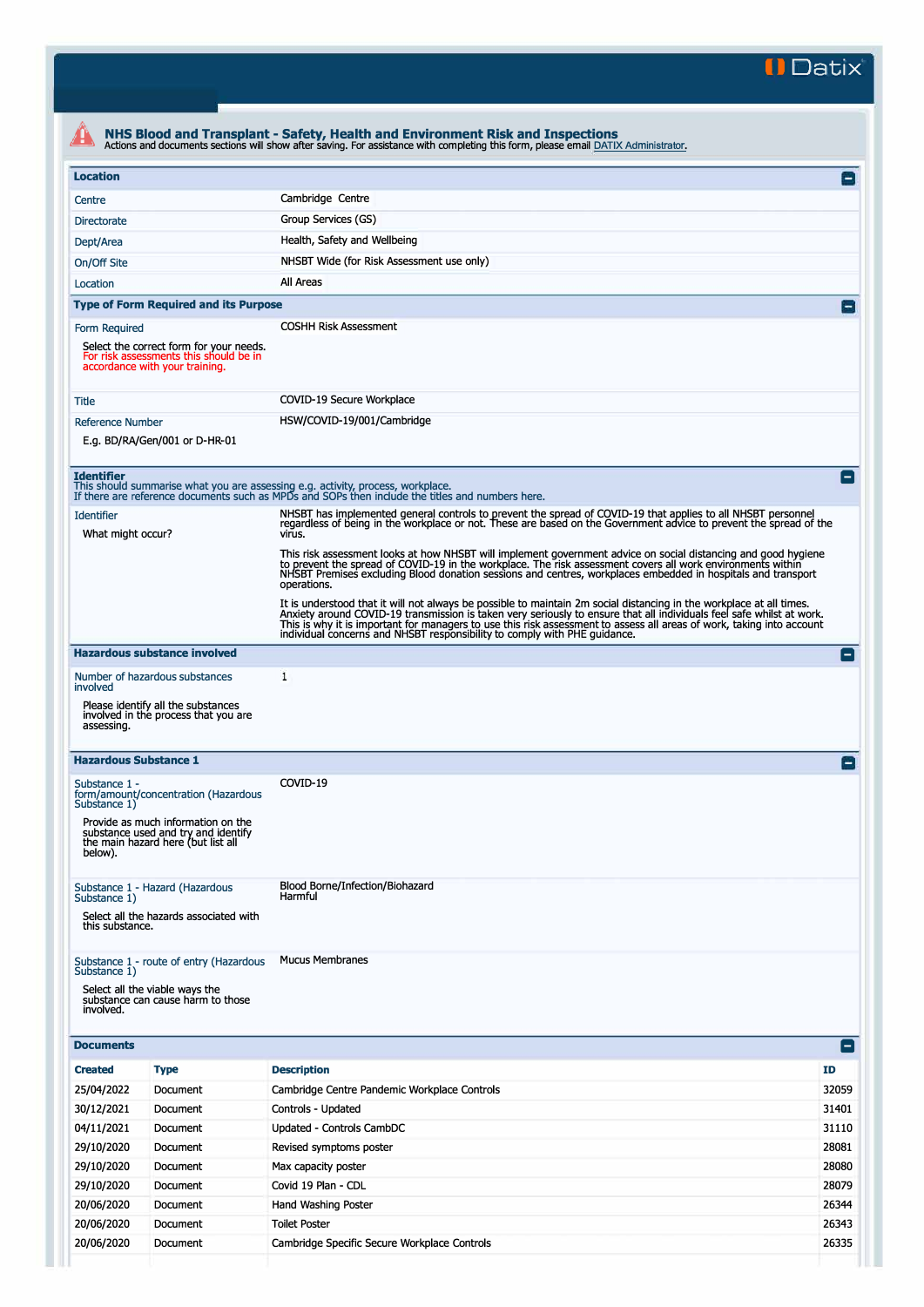**II Datix'** 

|                                        |                                                                                                                     | Actions and documents sections will show after saving. For assistance with completing this form, please email DATIX Administrator.                                                                                                                                                                                                                                                                                                                  |                    |
|----------------------------------------|---------------------------------------------------------------------------------------------------------------------|-----------------------------------------------------------------------------------------------------------------------------------------------------------------------------------------------------------------------------------------------------------------------------------------------------------------------------------------------------------------------------------------------------------------------------------------------------|--------------------|
| <b>Location</b>                        |                                                                                                                     |                                                                                                                                                                                                                                                                                                                                                                                                                                                     | F                  |
| Centre                                 |                                                                                                                     | Cambridge Centre                                                                                                                                                                                                                                                                                                                                                                                                                                    |                    |
| <b>Directorate</b>                     |                                                                                                                     | Group Services (GS)                                                                                                                                                                                                                                                                                                                                                                                                                                 |                    |
| Dept/Area                              |                                                                                                                     | Health, Safety and Wellbeing                                                                                                                                                                                                                                                                                                                                                                                                                        |                    |
| On/Off Site                            |                                                                                                                     | NHSBT Wide (for Risk Assessment use only)                                                                                                                                                                                                                                                                                                                                                                                                           |                    |
| Location                               |                                                                                                                     | All Areas                                                                                                                                                                                                                                                                                                                                                                                                                                           |                    |
|                                        | <b>Type of Form Required and its Purpose</b>                                                                        |                                                                                                                                                                                                                                                                                                                                                                                                                                                     |                    |
| Form Required                          |                                                                                                                     | <b>COSHH Risk Assessment</b>                                                                                                                                                                                                                                                                                                                                                                                                                        |                    |
|                                        | Select the correct form for your needs.<br>For risk assessments this should be in<br>accordance with your training. |                                                                                                                                                                                                                                                                                                                                                                                                                                                     |                    |
| Title                                  |                                                                                                                     | COVID-19 Secure Workplace                                                                                                                                                                                                                                                                                                                                                                                                                           |                    |
| <b>Reference Number</b>                |                                                                                                                     | HSW/COVID-19/001/Cambridge                                                                                                                                                                                                                                                                                                                                                                                                                          |                    |
|                                        | E.g. BD/RA/Gen/001 or D-HR-01                                                                                       |                                                                                                                                                                                                                                                                                                                                                                                                                                                     |                    |
|                                        |                                                                                                                     |                                                                                                                                                                                                                                                                                                                                                                                                                                                     |                    |
| <b>Identifier</b>                      |                                                                                                                     | This should summarise what you are assessing e.g. activity, process, workplace.<br>If there are reference documents such as MPDs and SOPs then include the titles and numbers here.                                                                                                                                                                                                                                                                 | i — i              |
| <b>Identifier</b><br>What might occur? |                                                                                                                     | NHSBT has implemented general controls to prevent the spread of COVID-19 that applies to all NHSBT personnel<br>regardless of being in the workplace or not. These are based on the Government advice to prevent the spread of the<br>virus.                                                                                                                                                                                                        |                    |
|                                        |                                                                                                                     | This risk assessment looks at how NHSBT will implement government advice on social distancing and good hygiene<br>to prevent the spread of COVID-19 in the workplace. The risk assessment covers all work environments within<br>NHSBT Premises excluding Blood donation sessions and centres, workplaces embedded in hospitals and transport<br>operations.                                                                                        |                    |
|                                        |                                                                                                                     | It is understood that it will not always be possible to maintain 2m social distancing in the workplace at all times.<br>Anxiety around COVID-19 transmission is taken very seriously to ensure that all individuals feel safe whilst at work.<br>This is why it is important for managers to use this risk assessment to assess all areas of work, taking into account<br>individual concerns and NHSBT responsibility to comply with PHE guidance. |                    |
|                                        | <b>Hazardous substance involved</b>                                                                                 |                                                                                                                                                                                                                                                                                                                                                                                                                                                     | i — i              |
|                                        | Number of hazardous substances                                                                                      | 1                                                                                                                                                                                                                                                                                                                                                                                                                                                   |                    |
| involved                               | Please identify all the substances                                                                                  |                                                                                                                                                                                                                                                                                                                                                                                                                                                     |                    |
| assessing.                             | involved in the process that you are                                                                                |                                                                                                                                                                                                                                                                                                                                                                                                                                                     |                    |
| <b>Hazardous Substance 1</b>           |                                                                                                                     |                                                                                                                                                                                                                                                                                                                                                                                                                                                     |                    |
| Substance 1 -<br>Substance 1)          | form/amount/concentration (Hazardous                                                                                | COVID-19                                                                                                                                                                                                                                                                                                                                                                                                                                            |                    |
| below).                                | Provide as much information on the<br>substance used and try and identify<br>the main hazard here (but list all     |                                                                                                                                                                                                                                                                                                                                                                                                                                                     |                    |
| Substance 1)                           | Substance 1 - Hazard (Hazardous                                                                                     | Blood Borne/Infection/Biohazard<br>Harmful                                                                                                                                                                                                                                                                                                                                                                                                          |                    |
| this substance.                        | Select all the hazards associated with                                                                              |                                                                                                                                                                                                                                                                                                                                                                                                                                                     |                    |
|                                        | Substance 1 - route of entry (Hazardous                                                                             | <b>Mucus Membranes</b>                                                                                                                                                                                                                                                                                                                                                                                                                              |                    |
| Substance 1)                           | Select all the viable ways the<br>substance can cause harm to those                                                 |                                                                                                                                                                                                                                                                                                                                                                                                                                                     |                    |
| involved.<br><b>Documents</b>          |                                                                                                                     |                                                                                                                                                                                                                                                                                                                                                                                                                                                     | $\left  - \right $ |
|                                        |                                                                                                                     |                                                                                                                                                                                                                                                                                                                                                                                                                                                     |                    |
| <b>Created</b>                         | <b>Type</b>                                                                                                         | <b>Description</b>                                                                                                                                                                                                                                                                                                                                                                                                                                  | ID                 |
| 25/04/2022                             | Document                                                                                                            | Cambridge Centre Pandemic Workplace Controls                                                                                                                                                                                                                                                                                                                                                                                                        | 32059              |
| 30/12/2021                             | Document                                                                                                            | Controls - Updated                                                                                                                                                                                                                                                                                                                                                                                                                                  | 31401              |
| 04/11/2021                             | Document                                                                                                            | Updated - Controls CambDC                                                                                                                                                                                                                                                                                                                                                                                                                           | 31110<br>28081     |
| 29/10/2020                             | Document                                                                                                            | Revised symptoms poster                                                                                                                                                                                                                                                                                                                                                                                                                             |                    |
| 29/10/2020                             | Document                                                                                                            | Max capacity poster                                                                                                                                                                                                                                                                                                                                                                                                                                 | 28080              |
| 29/10/2020                             | Document                                                                                                            | Covid 19 Plan - CDL                                                                                                                                                                                                                                                                                                                                                                                                                                 | 28079              |
| 20/06/2020                             | Document                                                                                                            | Hand Washing Poster                                                                                                                                                                                                                                                                                                                                                                                                                                 | 26344<br>26343     |
| 20/06/2020                             | Document                                                                                                            | <b>Toilet Poster</b>                                                                                                                                                                                                                                                                                                                                                                                                                                |                    |
| 20/06/2020                             | Document                                                                                                            | Cambridge Specific Secure Workplace Controls                                                                                                                                                                                                                                                                                                                                                                                                        | 26335              |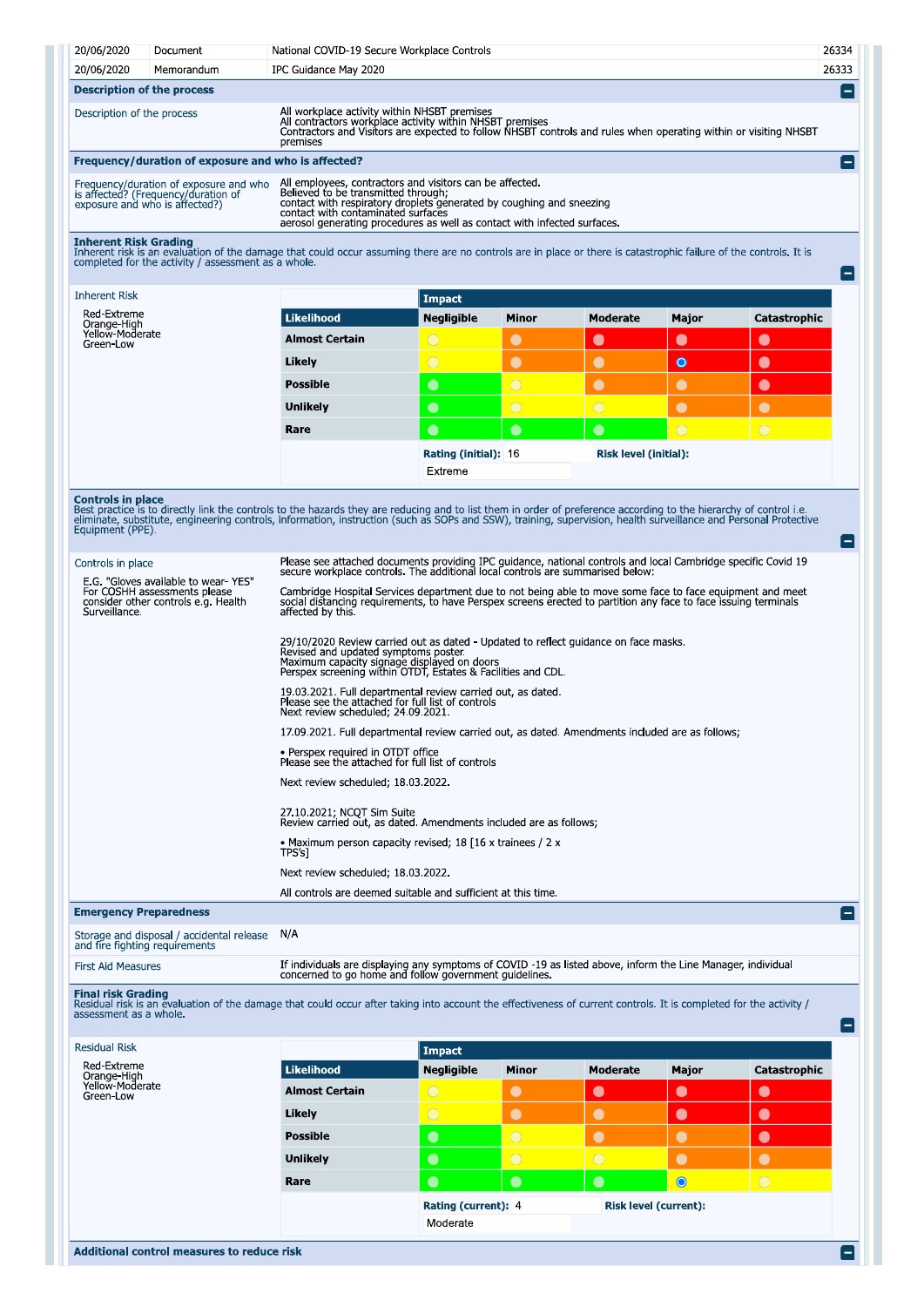| 20/06/2020                        | Document                                                                                                        | National COVID-19 Secure Workplace Controls                                                                                                                                                                                                                                               | 26334 |
|-----------------------------------|-----------------------------------------------------------------------------------------------------------------|-------------------------------------------------------------------------------------------------------------------------------------------------------------------------------------------------------------------------------------------------------------------------------------------|-------|
| 20/06/2020                        | Memorandum                                                                                                      | IPC Guidance May 2020                                                                                                                                                                                                                                                                     | 26333 |
| <b>Description of the process</b> |                                                                                                                 |                                                                                                                                                                                                                                                                                           |       |
| Description of the process        |                                                                                                                 | All workplace activity within NHSBT premises<br>All contractors workplace activity within NHSBT premises<br>Contractors and Visitors are expected to follow NHSBT controls and rules when operating within or visiting NHSBT<br>premises                                                  |       |
|                                   | Frequency/duration of exposure and who is affected?                                                             |                                                                                                                                                                                                                                                                                           |       |
|                                   | Frequency/duration of exposure and who<br>is affected? (Frequency/duration of<br>exposure and who is affected?) | All employees, contractors and visitors can be affected.<br>Believed to be transmitted through:<br>contact with respiratory droplets generated by coughing and sneezing<br>contact with contaminated surfaces<br>aerosol generating procedures as well as contact with infected surfaces. |       |
| <b>Inherent Risk Grading</b>      | completed for the activity / assessment as a whole.                                                             | Inherent risk is an evaluation of the damage that could occur assuming there are no controls are in place or there is catastrophic failure of the controls. It is                                                                                                                         |       |

Moderate

 $\bullet$ 

 $\bullet$ 

 $\bullet$ 

 $\bullet$ 

**Risk level (initial):** 

Major  $\bullet$ 

 $\bullet$ 

Catastrophic

 $\bullet$ 

 $\bullet$ 

 $\bullet$ 

| <b>Inherent Risk</b>                        |                       | <b>Impact</b>     |       |
|---------------------------------------------|-----------------------|-------------------|-------|
| Red-Extreme                                 | <b>Likelihood</b>     | <b>Negligible</b> | Minor |
| Orange-High<br>Yellow-Moderate<br>Green-Low | <b>Almost Certain</b> |                   |       |
|                                             | Likely                |                   |       |
|                                             | <b>Possible</b>       |                   |       |
|                                             | <b>Unlikely</b>       |                   |       |
|                                             | Rare                  |                   |       |

**Inherent Risk** 

**Controls in place**<br>Best practice is to directly link the controls to the hazards they are reducing and to list them in order of preference according to the hierarchy of control i.e.<br>eliminate, substitute, engineering cont

Extreme

Rating (initial): 16

| Controls in place<br>E.G. "Gloves available to wear YES"                             | Please see attached documents providing IPC guidance, national controls and local Cambridge specific Covid 19<br>secure workplace controls. The additional local controls are summarised below:                                                   |
|--------------------------------------------------------------------------------------|---------------------------------------------------------------------------------------------------------------------------------------------------------------------------------------------------------------------------------------------------|
| For COSHH assessments please<br>consider other controls e.g. Health<br>Surveillance. | Cambridge Hospital Services department due to not being able to move some face to face equipment and meet<br>social distancing requirements, to have Perspex screens erected to partition any face to face issuing terminals<br>affected by this. |
|                                                                                      | 29/10/2020 Review carried out as dated - Updated to reflect guidance on face masks.<br>Revised and updated symptoms poster.<br>Maximum capacity signage displayed on doors<br>Perspex screening within OTDT, Estates & Facilities and CDL.        |
|                                                                                      | 19.03.2021. Full departmental review carried out, as dated.<br>Please see the attached for full list of controls<br>Next review scheduled; 24.09.2021.                                                                                            |
|                                                                                      | 17.09.2021. Full departmental review carried out, as dated. Amendments included are as follows:                                                                                                                                                   |
|                                                                                      | • Perspex required in OTDT office<br>Please see the attached for full list of controls                                                                                                                                                            |
|                                                                                      | Next review scheduled; 18 03 2022.                                                                                                                                                                                                                |
|                                                                                      | 27.10.2021; NCQT Sim Suite<br>Review carried out, as dated. Amendments included are as follows;                                                                                                                                                   |
|                                                                                      | • Maximum person capacity revised; 18 [16 x trainees / 2 x<br>TPS's]                                                                                                                                                                              |
|                                                                                      | Next review scheduled; 18 03 2022.                                                                                                                                                                                                                |
|                                                                                      | All controls are deemed suitable and sufficient at this time.                                                                                                                                                                                     |
| <b>Emergency Preparedness</b>                                                        | Е.                                                                                                                                                                                                                                                |

Storage and disposal / accidental release N/A<br>and fire fighting requirements

| <b>First Aid Measures</b> | If individuals are displaying any symptoms of COVID -19 as listed above, inform the Line Manager, individual<br>concerned to go home and follow government guidelines |
|---------------------------|-----------------------------------------------------------------------------------------------------------------------------------------------------------------------|
|                           |                                                                                                                                                                       |

Final risk Grading<br>Residual risk is an evaluation of the damage that could occur after taking into account the effectiveness of current controls. It is completed for the activity /<br>assessment as a whole.

|                       | Impact              |              |                              |           |              |
|-----------------------|---------------------|--------------|------------------------------|-----------|--------------|
| Likelihood            | <b>Negligible</b>   | <b>Minor</b> | <b>Moderate</b>              | Major     | Catastrophic |
| <b>Almost Certain</b> | $\bigcirc$          | $\bullet$    | $\bullet$                    | $\bullet$ | $\bullet$    |
| Likely                | $\bigcirc$          | $\bullet$    | $\bullet$                    | $\bullet$ | $\bullet$    |
| <b>Possible</b>       | $\bullet$           | $\circ$      | $\bullet$                    |           | $\bullet$    |
| <b>Unlikely</b>       | $\bullet$           | $\circ$      | $\bigcirc$                   |           | $\bullet$    |
| Rare                  | $\bullet$           | $\bullet$    | $\bullet$                    | $\bullet$ | $\bigcirc$   |
|                       | Rating (current): 4 |              | <b>Risk level (current):</b> |           |              |
|                       | Moderate            |              |                              |           |              |
|                       |                     |              |                              |           |              |

 $\blacksquare$